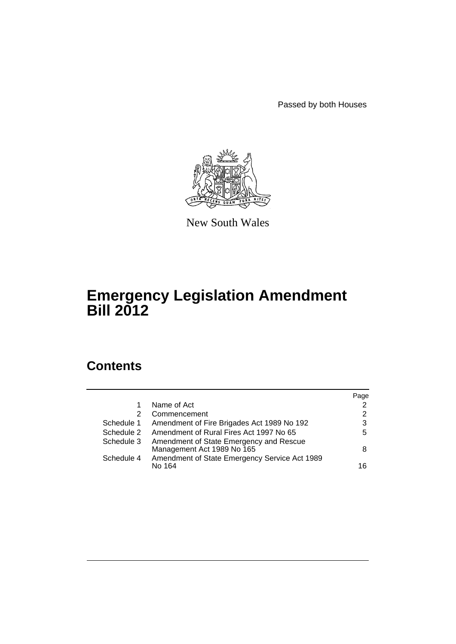Passed by both Houses



New South Wales

# **Emergency Legislation Amendment Bill 2012**

# **Contents**

|            |                                                                       | Page           |
|------------|-----------------------------------------------------------------------|----------------|
|            | Name of Act                                                           | 2              |
| 2          | Commencement                                                          | $\overline{2}$ |
| Schedule 1 | Amendment of Fire Brigades Act 1989 No 192                            | 3              |
| Schedule 2 | Amendment of Rural Fires Act 1997 No 65                               | 5              |
| Schedule 3 | Amendment of State Emergency and Rescue<br>Management Act 1989 No 165 | 8              |
| Schedule 4 | Amendment of State Emergency Service Act 1989<br>No 164               | 16             |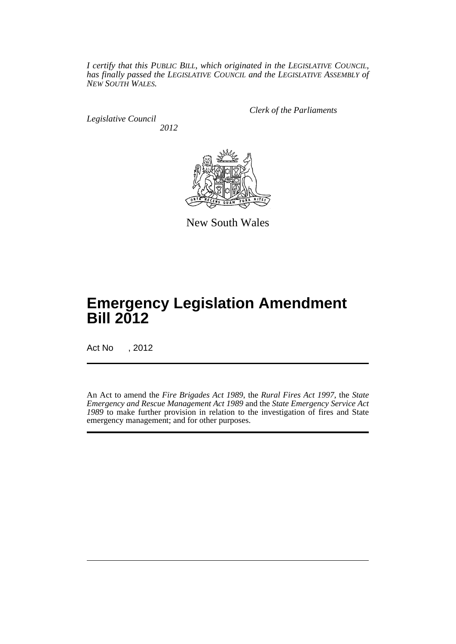*I certify that this PUBLIC BILL, which originated in the LEGISLATIVE COUNCIL, has finally passed the LEGISLATIVE COUNCIL and the LEGISLATIVE ASSEMBLY of NEW SOUTH WALES.*

*Legislative Council 2012* *Clerk of the Parliaments*



New South Wales

# **Emergency Legislation Amendment Bill 2012**

Act No , 2012

An Act to amend the *Fire Brigades Act 1989*, the *Rural Fires Act 1997*, the *State Emergency and Rescue Management Act 1989* and the *State Emergency Service Act 1989* to make further provision in relation to the investigation of fires and State emergency management; and for other purposes.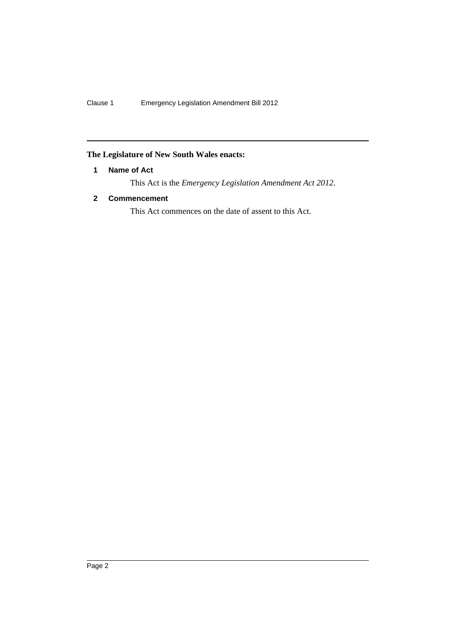# <span id="page-3-0"></span>**The Legislature of New South Wales enacts:**

# **1 Name of Act**

This Act is the *Emergency Legislation Amendment Act 2012*.

# <span id="page-3-1"></span>**2 Commencement**

This Act commences on the date of assent to this Act.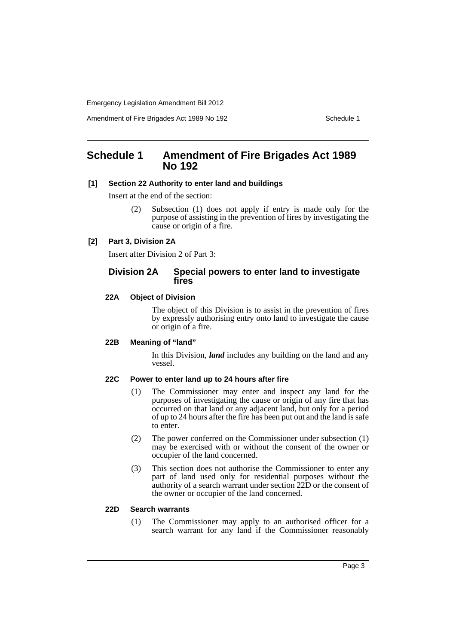Amendment of Fire Brigades Act 1989 No 192 Schedule 1

# <span id="page-4-0"></span>**Schedule 1 Amendment of Fire Brigades Act 1989 No 192**

#### **[1] Section 22 Authority to enter land and buildings**

Insert at the end of the section:

(2) Subsection (1) does not apply if entry is made only for the purpose of assisting in the prevention of fires by investigating the cause or origin of a fire.

### **[2] Part 3, Division 2A**

Insert after Division 2 of Part 3:

# **Division 2A Special powers to enter land to investigate fires**

#### **22A Object of Division**

The object of this Division is to assist in the prevention of fires by expressly authorising entry onto land to investigate the cause or origin of a fire.

#### **22B Meaning of "land"**

In this Division, *land* includes any building on the land and any vessel.

#### **22C Power to enter land up to 24 hours after fire**

- (1) The Commissioner may enter and inspect any land for the purposes of investigating the cause or origin of any fire that has occurred on that land or any adjacent land, but only for a period of up to 24 hours after the fire has been put out and the land is safe to enter.
- (2) The power conferred on the Commissioner under subsection (1) may be exercised with or without the consent of the owner or occupier of the land concerned.
- (3) This section does not authorise the Commissioner to enter any part of land used only for residential purposes without the authority of a search warrant under section 22D or the consent of the owner or occupier of the land concerned.

#### **22D Search warrants**

(1) The Commissioner may apply to an authorised officer for a search warrant for any land if the Commissioner reasonably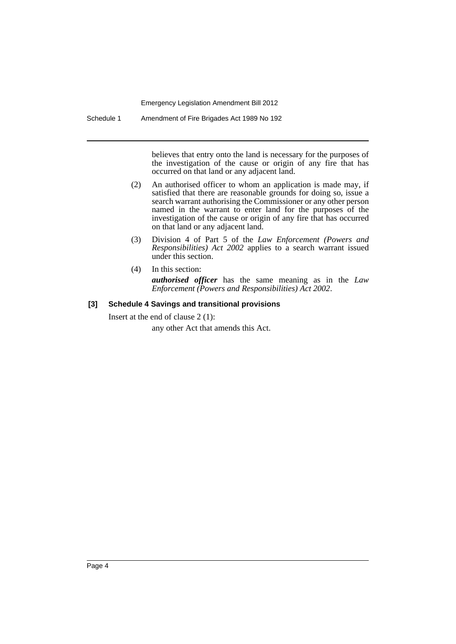Schedule 1 Amendment of Fire Brigades Act 1989 No 192

believes that entry onto the land is necessary for the purposes of the investigation of the cause or origin of any fire that has occurred on that land or any adjacent land.

- (2) An authorised officer to whom an application is made may, if satisfied that there are reasonable grounds for doing so, issue a search warrant authorising the Commissioner or any other person named in the warrant to enter land for the purposes of the investigation of the cause or origin of any fire that has occurred on that land or any adjacent land.
- (3) Division 4 of Part 5 of the *Law Enforcement (Powers and Responsibilities) Act 2002* applies to a search warrant issued under this section.
- (4) In this section: *authorised officer* has the same meaning as in the *Law Enforcement (Powers and Responsibilities) Act 2002*.

### **[3] Schedule 4 Savings and transitional provisions**

Insert at the end of clause 2 (1):

any other Act that amends this Act.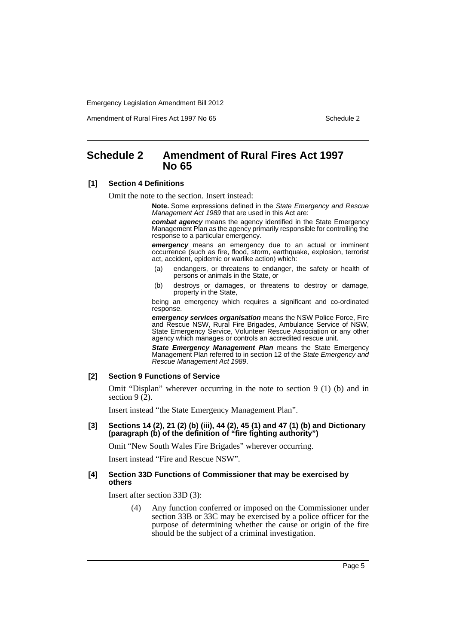Amendment of Rural Fires Act 1997 No 65 Schedule 2

# <span id="page-6-0"></span>**Schedule 2 Amendment of Rural Fires Act 1997 No 65**

#### **[1] Section 4 Definitions**

Omit the note to the section. Insert instead:

**Note.** Some expressions defined in the *State Emergency and Rescue Management Act 1989* that are used in this Act are:

*combat agency* means the agency identified in the State Emergency Management Plan as the agency primarily responsible for controlling the response to a particular emergency.

*emergency* means an emergency due to an actual or imminent occurrence (such as fire, flood, storm, earthquake, explosion, terrorist act, accident, epidemic or warlike action) which:

- (a) endangers, or threatens to endanger, the safety or health of persons or animals in the State, or
- (b) destroys or damages, or threatens to destroy or damage, property in the State,

being an emergency which requires a significant and co-ordinated response.

*emergency services organisation* means the NSW Police Force, Fire and Rescue NSW, Rural Fire Brigades, Ambulance Service of NSW, State Emergency Service, Volunteer Rescue Association or any other agency which manages or controls an accredited rescue unit.

*State Emergency Management Plan* means the State Emergency Management Plan referred to in section 12 of the *State Emergency and Rescue Management Act 1989*.

#### **[2] Section 9 Functions of Service**

Omit "Displan" wherever occurring in the note to section 9 (1) (b) and in section  $9(\overline{2})$ .

Insert instead "the State Emergency Management Plan".

#### **[3] Sections 14 (2), 21 (2) (b) (iii), 44 (2), 45 (1) and 47 (1) (b) and Dictionary (paragraph (b) of the definition of "fire fighting authority")**

Omit "New South Wales Fire Brigades" wherever occurring.

Insert instead "Fire and Rescue NSW".

#### **[4] Section 33D Functions of Commissioner that may be exercised by others**

Insert after section 33D (3):

(4) Any function conferred or imposed on the Commissioner under section 33B or 33C may be exercised by a police officer for the purpose of determining whether the cause or origin of the fire should be the subject of a criminal investigation.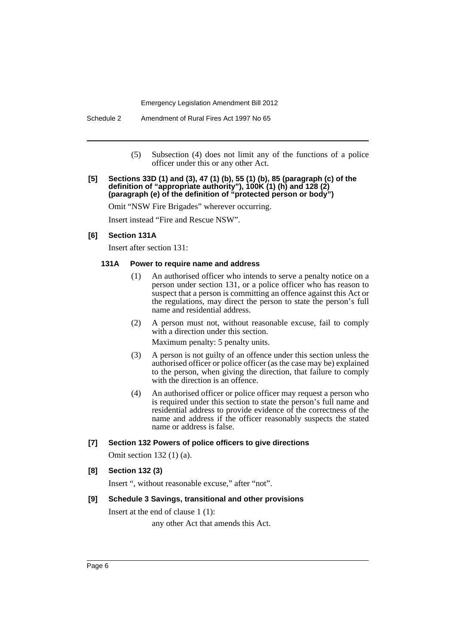Schedule 2 Amendment of Rural Fires Act 1997 No 65

(5) Subsection (4) does not limit any of the functions of a police officer under this or any other Act.

#### **[5] Sections 33D (1) and (3), 47 (1) (b), 55 (1) (b), 85 (paragraph (c) of the definition of "appropriate authority"), 100K (1) (h) and 128 (2) (paragraph (e) of the definition of "protected person or body")**

Omit "NSW Fire Brigades" wherever occurring.

Insert instead "Fire and Rescue NSW".

### **[6] Section 131A**

Insert after section 131:

#### **131A Power to require name and address**

- (1) An authorised officer who intends to serve a penalty notice on a person under section 131, or a police officer who has reason to suspect that a person is committing an offence against this Act or the regulations, may direct the person to state the person's full name and residential address.
- (2) A person must not, without reasonable excuse, fail to comply with a direction under this section. Maximum penalty: 5 penalty units.
- (3) A person is not guilty of an offence under this section unless the authorised officer or police officer (as the case may be) explained to the person, when giving the direction, that failure to comply with the direction is an offence.
- (4) An authorised officer or police officer may request a person who is required under this section to state the person's full name and residential address to provide evidence of the correctness of the name and address if the officer reasonably suspects the stated name or address is false.

#### **[7] Section 132 Powers of police officers to give directions**

Omit section 132 (1) (a).

#### **[8] Section 132 (3)**

Insert ", without reasonable excuse," after "not".

#### **[9] Schedule 3 Savings, transitional and other provisions**

Insert at the end of clause 1 (1):

any other Act that amends this Act.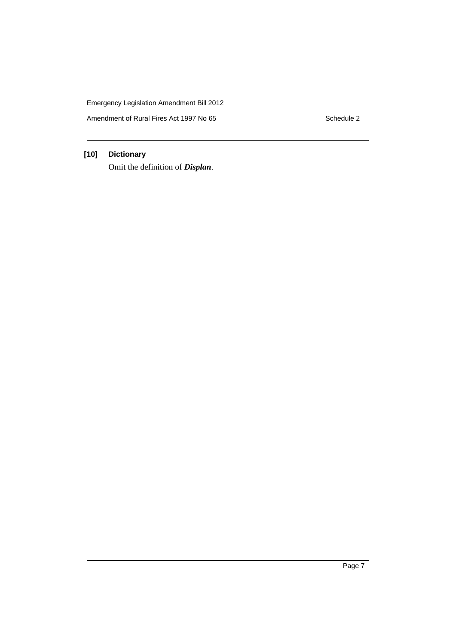Amendment of Rural Fires Act 1997 No 65 Schedule 2

# **[10] Dictionary**

Omit the definition of *Displan*.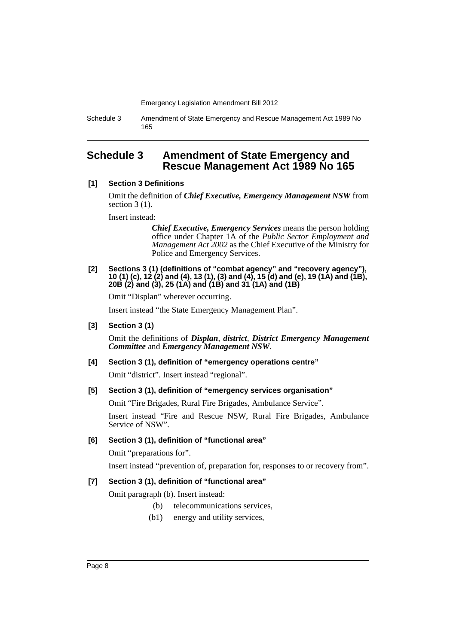Schedule 3 Amendment of State Emergency and Rescue Management Act 1989 No 165

# <span id="page-9-0"></span>**Schedule 3 Amendment of State Emergency and Rescue Management Act 1989 No 165**

### **[1] Section 3 Definitions**

Omit the definition of *Chief Executive, Emergency Management NSW* from section 3 (1).

Insert instead:

*Chief Executive, Emergency Services* means the person holding office under Chapter 1A of the *Public Sector Employment and Management Act 2002* as the Chief Executive of the Ministry for Police and Emergency Services.

#### **[2] Sections 3 (1) (definitions of "combat agency" and "recovery agency"), 10 (1) (c), 12 (2) and (4), 13 (1), (3) and (4), 15 (d) and (e), 19 (1A) and (1B), 20B (2) and (3), 25 (1A) and (1B) and 31 (1A) and (1B)**

Omit "Displan" wherever occurring.

Insert instead "the State Emergency Management Plan".

#### **[3] Section 3 (1)**

Omit the definitions of *Displan*, *district*, *District Emergency Management Committee* and *Emergency Management NSW*.

#### **[4] Section 3 (1), definition of "emergency operations centre"**

Omit "district". Insert instead "regional".

# **[5] Section 3 (1), definition of "emergency services organisation"**

Omit "Fire Brigades, Rural Fire Brigades, Ambulance Service".

Insert instead "Fire and Rescue NSW, Rural Fire Brigades, Ambulance Service of NSW".

# **[6] Section 3 (1), definition of "functional area"**

Omit "preparations for".

Insert instead "prevention of, preparation for, responses to or recovery from".

# **[7] Section 3 (1), definition of "functional area"**

Omit paragraph (b). Insert instead:

- (b) telecommunications services,
- (b1) energy and utility services,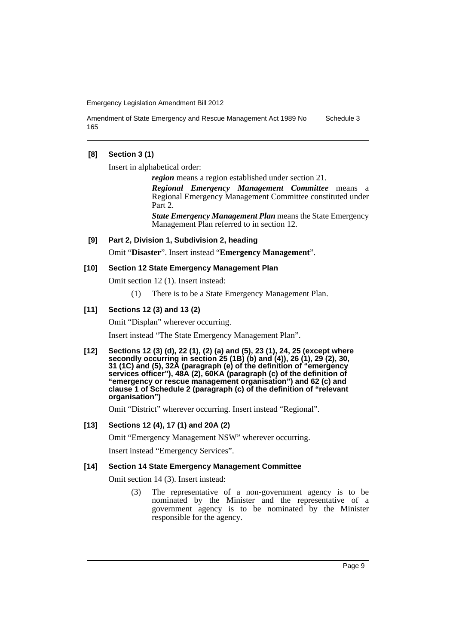Amendment of State Emergency and Rescue Management Act 1989 No 165 Schedule 3

### **[8] Section 3 (1)**

Insert in alphabetical order:

*region* means a region established under section 21.

*Regional Emergency Management Committee* means a Regional Emergency Management Committee constituted under Part 2.

*State Emergency Management Plan* means the State Emergency Management Plan referred to in section 12.

#### **[9] Part 2, Division 1, Subdivision 2, heading**

Omit "**Disaster**". Insert instead "**Emergency Management**".

#### **[10] Section 12 State Emergency Management Plan**

Omit section 12 (1). Insert instead:

(1) There is to be a State Emergency Management Plan.

#### **[11] Sections 12 (3) and 13 (2)**

Omit "Displan" wherever occurring.

Insert instead "The State Emergency Management Plan".

**[12] Sections 12 (3) (d), 22 (1), (2) (a) and (5), 23 (1), 24, 25 (except where secondly occurring in section 25 (1B) (b) and (4)), 26 (1), 29 (2), 30, 31 (1C) and (5), 32A (paragraph (e) of the definition of "emergency services officer"), 48A (2), 60KA (paragraph (c) of the definition of "emergency or rescue management organisation") and 62 (c) and clause 1 of Schedule 2 (paragraph (c) of the definition of "relevant organisation")**

Omit "District" wherever occurring. Insert instead "Regional".

#### **[13] Sections 12 (4), 17 (1) and 20A (2)**

Omit "Emergency Management NSW" wherever occurring.

Insert instead "Emergency Services".

#### **[14] Section 14 State Emergency Management Committee**

Omit section 14 (3). Insert instead:

(3) The representative of a non-government agency is to be nominated by the Minister and the representative of a government agency is to be nominated by the Minister responsible for the agency.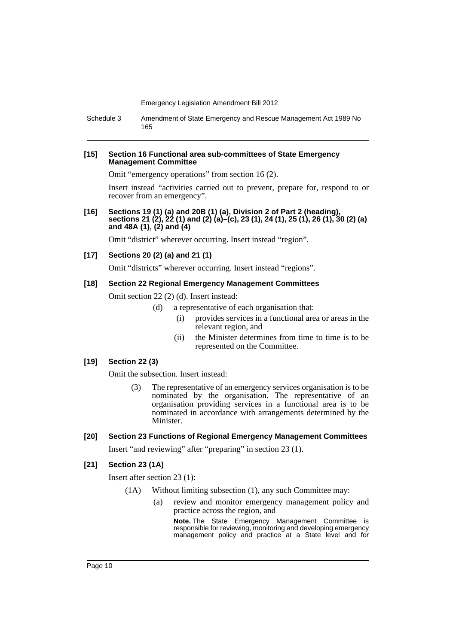Schedule 3 Amendment of State Emergency and Rescue Management Act 1989 No 165

#### **[15] Section 16 Functional area sub-committees of State Emergency Management Committee**

Omit "emergency operations" from section 16 (2).

Insert instead "activities carried out to prevent, prepare for, respond to or recover from an emergency".

**[16] Sections 19 (1) (a) and 20B (1) (a), Division 2 of Part 2 (heading), sections 21 (2), 22 (1) and (2) (a)–(c), 23 (1), 24 (1), 25 (1), 26 (1), 30 (2) (a) and 48A (1), (2) and (4)**

Omit "district" wherever occurring. Insert instead "region".

### **[17] Sections 20 (2) (a) and 21 (1)**

Omit "districts" wherever occurring. Insert instead "regions".

#### **[18] Section 22 Regional Emergency Management Committees**

Omit section 22 (2) (d). Insert instead:

- (d) a representative of each organisation that:
	- (i) provides services in a functional area or areas in the relevant region, and
	- (ii) the Minister determines from time to time is to be represented on the Committee.

# **[19] Section 22 (3)**

Omit the subsection. Insert instead:

(3) The representative of an emergency services organisation is to be nominated by the organisation. The representative of an organisation providing services in a functional area is to be nominated in accordance with arrangements determined by the Minister.

#### **[20] Section 23 Functions of Regional Emergency Management Committees**

Insert "and reviewing" after "preparing" in section 23 (1).

#### **[21] Section 23 (1A)**

Insert after section 23 (1):

- (1A) Without limiting subsection (1), any such Committee may:
	- (a) review and monitor emergency management policy and practice across the region, and

**Note.** The State Emergency Management Committee is responsible for reviewing, monitoring and developing emergency management policy and practice at a State level and for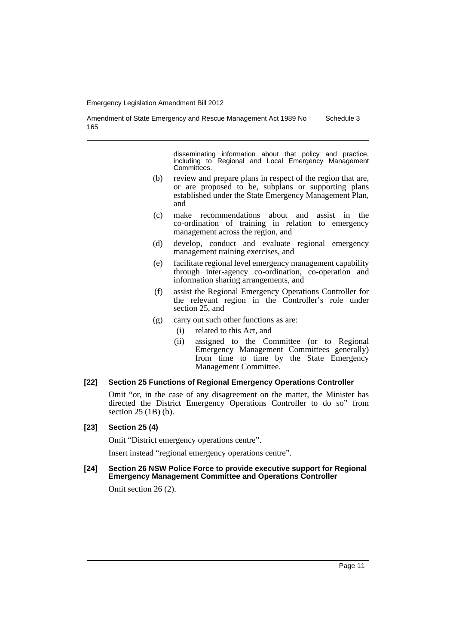Schedule 3

Amendment of State Emergency and Rescue Management Act 1989 No 165

> disseminating information about that policy and practice, including to Regional and Local Emergency Management Committees.

- (b) review and prepare plans in respect of the region that are, or are proposed to be, subplans or supporting plans established under the State Emergency Management Plan, and
- (c) make recommendations about and assist in the co-ordination of training in relation to emergency management across the region, and
- (d) develop, conduct and evaluate regional emergency management training exercises, and
- (e) facilitate regional level emergency management capability through inter-agency co-ordination, co-operation and information sharing arrangements, and
- (f) assist the Regional Emergency Operations Controller for the relevant region in the Controller's role under section 25, and
- (g) carry out such other functions as are:
	- (i) related to this Act, and
		- (ii) assigned to the Committee (or to Regional Emergency Management Committees generally) from time to time by the State Emergency Management Committee.

#### **[22] Section 25 Functions of Regional Emergency Operations Controller**

Omit "or, in the case of any disagreement on the matter, the Minister has directed the District Emergency Operations Controller to do so" from section 25 (1B) (b).

#### **[23] Section 25 (4)**

Omit "District emergency operations centre".

Insert instead "regional emergency operations centre".

**[24] Section 26 NSW Police Force to provide executive support for Regional Emergency Management Committee and Operations Controller**

Omit section 26 (2).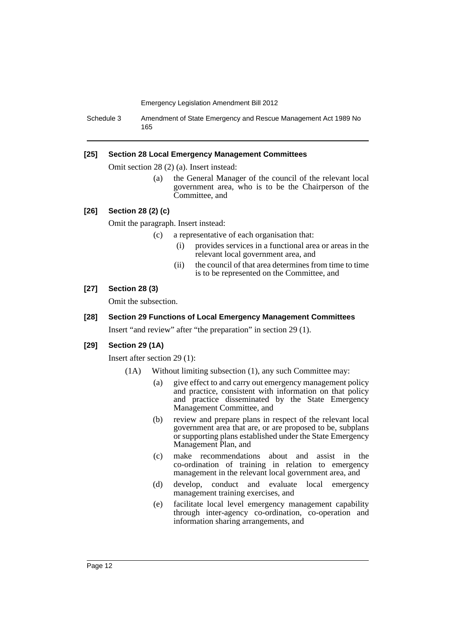Schedule 3 Amendment of State Emergency and Rescue Management Act 1989 No 165

#### **[25] Section 28 Local Emergency Management Committees**

Omit section 28 (2) (a). Insert instead:

(a) the General Manager of the council of the relevant local government area, who is to be the Chairperson of the Committee, and

#### **[26] Section 28 (2) (c)**

Omit the paragraph. Insert instead:

- (c) a representative of each organisation that:
	- (i) provides services in a functional area or areas in the relevant local government area, and
	- (ii) the council of that area determines from time to time is to be represented on the Committee, and

### **[27] Section 28 (3)**

Omit the subsection.

#### **[28] Section 29 Functions of Local Emergency Management Committees**

Insert "and review" after "the preparation" in section 29 (1).

#### **[29] Section 29 (1A)**

Insert after section 29 (1):

- (1A) Without limiting subsection (1), any such Committee may:
	- (a) give effect to and carry out emergency management policy and practice, consistent with information on that policy and practice disseminated by the State Emergency Management Committee, and
	- (b) review and prepare plans in respect of the relevant local government area that are, or are proposed to be, subplans or supporting plans established under the State Emergency Management Plan, and
	- (c) make recommendations about and assist in the co-ordination of training in relation to emergency management in the relevant local government area, and
	- (d) develop, conduct and evaluate local emergency management training exercises, and
	- (e) facilitate local level emergency management capability through inter-agency co-ordination, co-operation and information sharing arrangements, and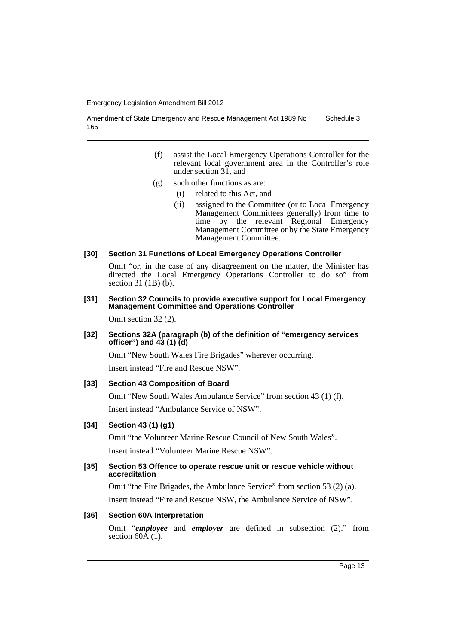Amendment of State Emergency and Rescue Management Act 1989 No 165 Schedule 3

- (f) assist the Local Emergency Operations Controller for the relevant local government area in the Controller's role under section 31, and
- (g) such other functions as are:
	- (i) related to this Act, and
	- (ii) assigned to the Committee (or to Local Emergency Management Committees generally) from time to time by the relevant Regional Emergency Management Committee or by the State Emergency Management Committee.
- **[30] Section 31 Functions of Local Emergency Operations Controller**

Omit "or, in the case of any disagreement on the matter, the Minister has directed the Local Emergency Operations Controller to do so" from section 31 (1B) (b).

### **[31] Section 32 Councils to provide executive support for Local Emergency Management Committee and Operations Controller**

Omit section 32 (2).

### **[32] Sections 32A (paragraph (b) of the definition of "emergency services officer") and 43 (1) (d)**

Omit "New South Wales Fire Brigades" wherever occurring.

Insert instead "Fire and Rescue NSW".

# **[33] Section 43 Composition of Board**

Omit "New South Wales Ambulance Service" from section 43 (1) (f). Insert instead "Ambulance Service of NSW".

# **[34] Section 43 (1) (g1)**

Omit "the Volunteer Marine Rescue Council of New South Wales". Insert instead "Volunteer Marine Rescue NSW".

# **[35] Section 53 Offence to operate rescue unit or rescue vehicle without accreditation**

Omit "the Fire Brigades, the Ambulance Service" from section 53 (2) (a). Insert instead "Fire and Rescue NSW, the Ambulance Service of NSW".

# **[36] Section 60A Interpretation**

Omit "*employee* and *employer* are defined in subsection (2)." from section  $60A(1)$ .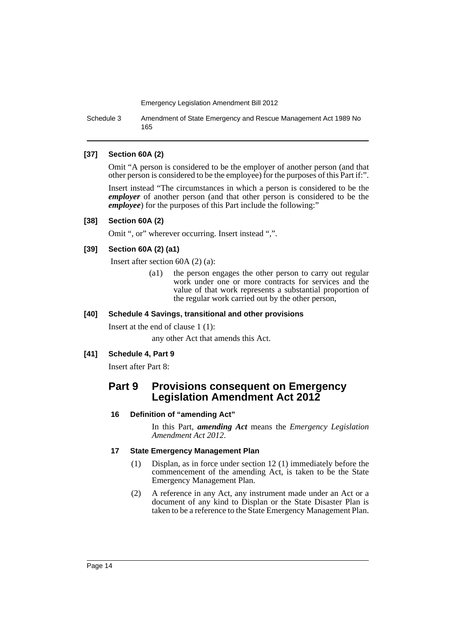Schedule 3 Amendment of State Emergency and Rescue Management Act 1989 No 165

### **[37] Section 60A (2)**

Omit "A person is considered to be the employer of another person (and that other person is considered to be the employee) for the purposes of this Part if:".

Insert instead "The circumstances in which a person is considered to be the *employer* of another person (and that other person is considered to be the *employee*) for the purposes of this Part include the following:"

#### **[38] Section 60A (2)**

Omit ", or" wherever occurring. Insert instead ",".

# **[39] Section 60A (2) (a1)**

Insert after section 60A (2) (a):

(a1) the person engages the other person to carry out regular work under one or more contracts for services and the value of that work represents a substantial proportion of the regular work carried out by the other person,

# **[40] Schedule 4 Savings, transitional and other provisions**

Insert at the end of clause 1 (1):

any other Act that amends this Act.

# **[41] Schedule 4, Part 9**

Insert after Part 8:

# **Part 9 Provisions consequent on Emergency Legislation Amendment Act 2012**

# **16 Definition of "amending Act"**

In this Part, *amending Act* means the *Emergency Legislation Amendment Act 2012*.

# **17 State Emergency Management Plan**

- (1) Displan, as in force under section 12 (1) immediately before the commencement of the amending Act, is taken to be the State Emergency Management Plan.
- (2) A reference in any Act, any instrument made under an Act or a document of any kind to Displan or the State Disaster Plan is taken to be a reference to the State Emergency Management Plan.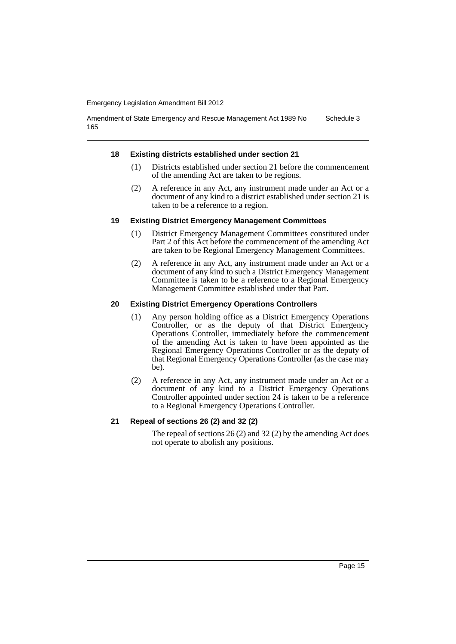Amendment of State Emergency and Rescue Management Act 1989 No 165 Schedule 3

#### **18 Existing districts established under section 21**

- (1) Districts established under section 21 before the commencement of the amending Act are taken to be regions.
- (2) A reference in any Act, any instrument made under an Act or a document of any kind to a district established under section 21 is taken to be a reference to a region.

#### **19 Existing District Emergency Management Committees**

- (1) District Emergency Management Committees constituted under Part 2 of this Act before the commencement of the amending Act are taken to be Regional Emergency Management Committees.
- (2) A reference in any Act, any instrument made under an Act or a document of any kind to such a District Emergency Management Committee is taken to be a reference to a Regional Emergency Management Committee established under that Part.

#### **20 Existing District Emergency Operations Controllers**

- (1) Any person holding office as a District Emergency Operations Controller, or as the deputy of that District Emergency Operations Controller, immediately before the commencement of the amending Act is taken to have been appointed as the Regional Emergency Operations Controller or as the deputy of that Regional Emergency Operations Controller (as the case may be).
- (2) A reference in any Act, any instrument made under an Act or a document of any kind to a District Emergency Operations Controller appointed under section 24 is taken to be a reference to a Regional Emergency Operations Controller.

#### **21 Repeal of sections 26 (2) and 32 (2)**

The repeal of sections 26 (2) and 32 (2) by the amending Act does not operate to abolish any positions.